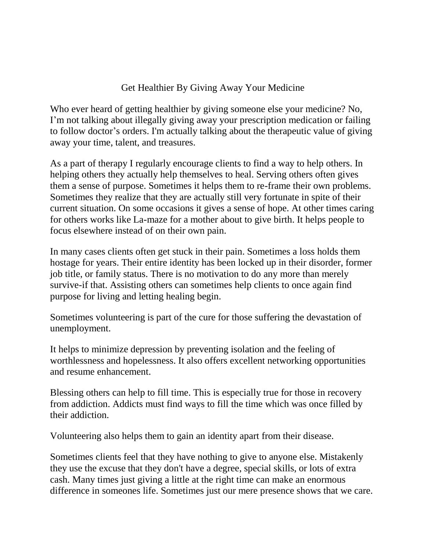## Get Healthier By Giving Away Your Medicine

Who ever heard of getting healthier by giving someone else your medicine? No, I'm not talking about illegally giving away your prescription medication or failing to follow doctor's orders. I'm actually talking about the therapeutic value of giving away your time, talent, and treasures.

As a part of therapy I regularly encourage clients to find a way to help others. In helping others they actually help themselves to heal. Serving others often gives them a sense of purpose. Sometimes it helps them to re-frame their own problems. Sometimes they realize that they are actually still very fortunate in spite of their current situation. On some occasions it gives a sense of hope. At other times caring for others works like La-maze for a mother about to give birth. It helps people to focus elsewhere instead of on their own pain.

In many cases clients often get stuck in their pain. Sometimes a loss holds them hostage for years. Their entire identity has been locked up in their disorder, former job title, or family status. There is no motivation to do any more than merely survive-if that. Assisting others can sometimes help clients to once again find purpose for living and letting healing begin.

Sometimes volunteering is part of the cure for those suffering the devastation of unemployment.

It helps to minimize depression by preventing isolation and the feeling of worthlessness and hopelessness. It also offers excellent networking opportunities and resume enhancement.

Blessing others can help to fill time. This is especially true for those in recovery from addiction. Addicts must find ways to fill the time which was once filled by their addiction.

Volunteering also helps them to gain an identity apart from their disease.

Sometimes clients feel that they have nothing to give to anyone else. Mistakenly they use the excuse that they don't have a degree, special skills, or lots of extra cash. Many times just giving a little at the right time can make an enormous difference in someones life. Sometimes just our mere presence shows that we care.